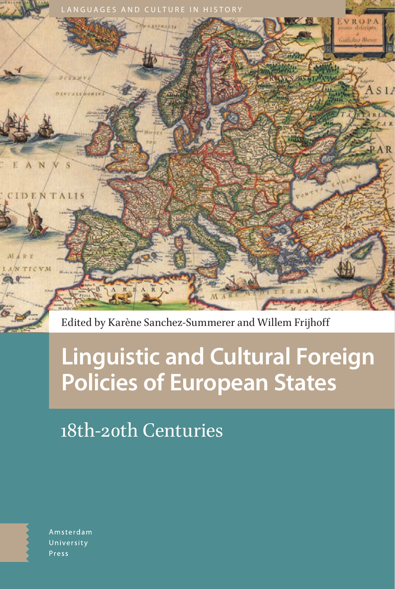

Edited by Karène Sanchez-Summerer and Willem Frijhoff

# **Linguistic and Cultural Foreign Policies of European States**

# 18th-20th Centuries

Amsterdam University Press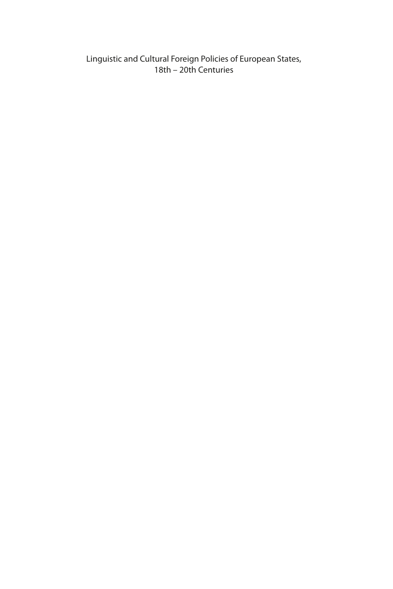Linguistic and Cultural Foreign Policies of European States, 18th – 20th Centuries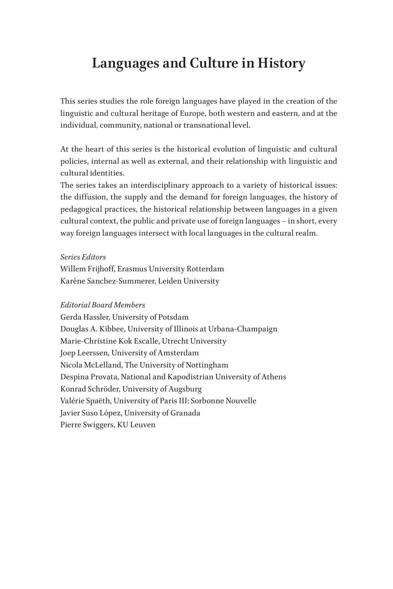### **Languages and Culture in History**

This series studies the role foreign languages have played in the creation of the linguistic and cultural heritage of Europe, both western and eastern, and at the individual, community, national or transnational level.

At the heart of this series is the historical evolution of linguistic and cultural policies, internal as well as external, and their relationship with linguistic and cultural identities.

The series takes an interdisciplinary approach to a variety of historical issues: the diffusion, the supply and the demand for foreign languages, the history of pedagogical practices, the historical relationship between languages in a given cultural context, the public and private use of foreign languages – in short, every way foreign languages intersect with local languages in the cultural realm.

#### *Series Editors*

Willem Frijhoff, Erasmus University Rotterdam Karène Sanchez-Summerer, Leiden University

#### *Editorial Board Members*

Gerda Hassler, University of Potsdam Douglas A. Kibbee, University of Illinois at Urbana-Champaign Marie-Christine Kok Escalle, Utrecht University Joep Leerssen, University of Amsterdam Nicola McLelland, The University of Nottingham Despina Provata, National and Kapodistrian University of Athens Konrad Schröder, University of Augsburg Valérie Spaëth, University of Paris III: Sorbonne Nouvelle Javier Suso López, University of Granada Pierre Swiggers, KU Leuven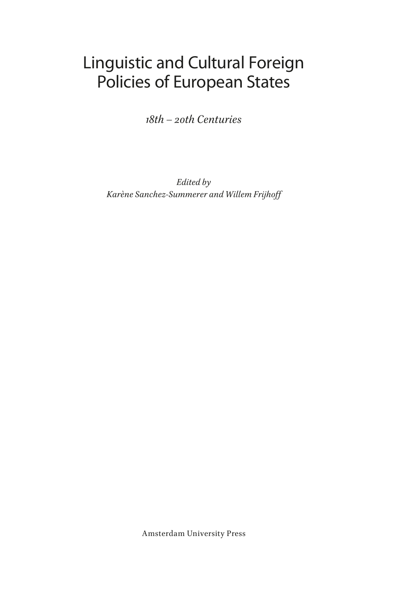## Linguistic and Cultural Foreign Policies of European States

*18th – 20th Centuries*

*Edited by Karène Sanchez-Summerer and Willem Frijhoff*

Amsterdam University Press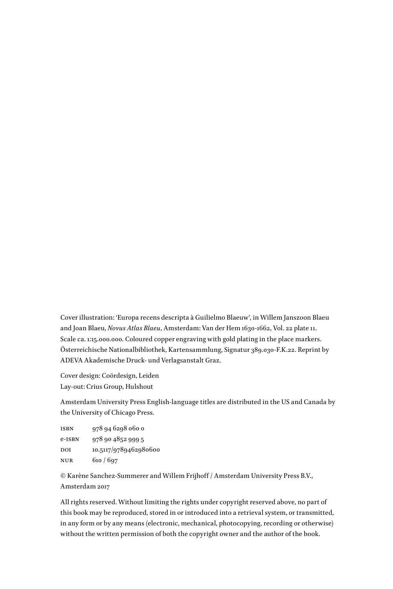Cover illustration: 'Europa recens descripta à Guilielmo Blaeuw', in Willem Janszoon Blaeu and Joan Blaeu, *Novus Atlas Blaeu*, Amsterdam: Van der Hem 1630-1662, Vol. 22 plate 11. Scale ca. 1:15.000.000. Coloured copper engraving with gold plating in the place markers. Österreichische Nationalbibliothek, Kartensammlung, Signatur 389.030-F.K.22. Reprint by ADEVA Akademische Druck- und Verlagsanstalt Graz.

Cover design: Coördesign, Leiden Lay-out: Crius Group, Hulshout

Amsterdam University Press English-language titles are distributed in the US and Canada by the University of Chicago Press.

isbn 978 94 6298 060 0 e-isbn 978 90 4852 999 5 DOI 10.5117/9789462980600 nur 610 / 697

© Karène Sanchez-Summerer and Willem Frijhoff / Amsterdam University Press B.V., Amsterdam 2017

All rights reserved. Without limiting the rights under copyright reserved above, no part of this book may be reproduced, stored in or introduced into a retrieval system, or transmitted, in any form or by any means (electronic, mechanical, photocopying, recording or otherwise) without the written permission of both the copyright owner and the author of the book.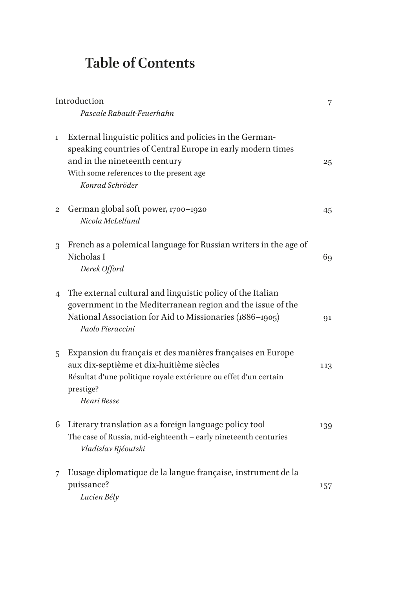### **Table of Contents**

| Introduction   |                                                                                                                                                                                                                       | 7   |
|----------------|-----------------------------------------------------------------------------------------------------------------------------------------------------------------------------------------------------------------------|-----|
|                | Pascale Rabault-Feuerhahn                                                                                                                                                                                             |     |
| $\mathbf{1}$   | External linguistic politics and policies in the German-<br>speaking countries of Central Europe in early modern times<br>and in the nineteenth century<br>With some references to the present age<br>Konrad Schröder | 25  |
| 2              | German global soft power, 1700-1920<br>Nicola McLelland                                                                                                                                                               | 45  |
| 3              | French as a polemical language for Russian writers in the age of<br>Nicholas I<br>Derek Offord                                                                                                                        | 69  |
| $\overline{4}$ | The external cultural and linguistic policy of the Italian<br>government in the Mediterranean region and the issue of the<br>National Association for Aid to Missionaries (1886-1905)<br>Paolo Pieraccini             | 91  |
| 5              | Expansion du français et des manières françaises en Europe<br>aux dix-septième et dix-huitième siècles<br>Résultat d'une politique royale extérieure ou effet d'un certain<br>prestige?<br>Henri Besse                | 113 |
| 6              | Literary translation as a foreign language policy tool<br>The case of Russia, mid-eighteenth - early nineteenth centuries<br>Vladislav Rjéoutski                                                                      | 139 |
| 7              | L'usage diplomatique de la langue française, instrument de la<br>puissance?<br>Lucien Bély                                                                                                                            | 157 |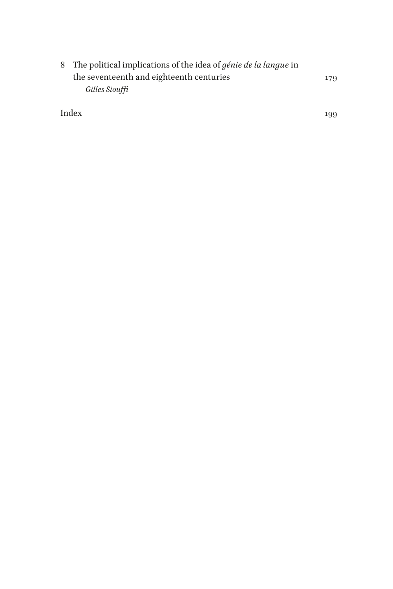| 8 The political implications of the idea of <i>génie de la langue</i> in |     |
|--------------------------------------------------------------------------|-----|
| the seventeenth and eighteenth centuries                                 | 179 |
| Gilles Siouffi                                                           |     |

[Index](#page--1-0) 199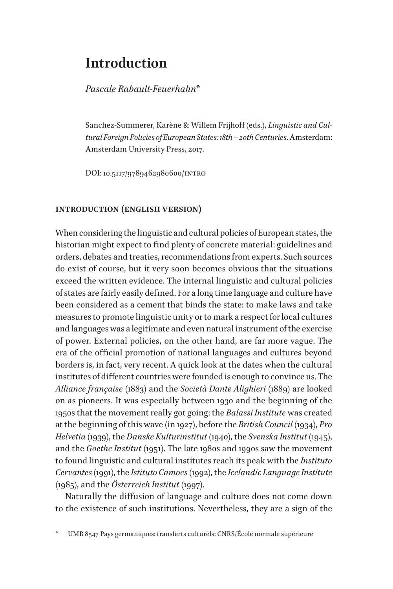### <span id="page-7-0"></span>**Introduction**

*Pascale Rabault-Feuerhahn\**

Sanchez-Summerer, Karène & Willem Frijhoff (eds.), *Linguistic and Cultural Foreign Policies of European States: 18th – 20th Centuries*. Amsterdam: Amsterdam University Press, 2017.

DOI: 10.5117/9789462980600/intro

#### **introduction (english version)**

When considering the linguistic and cultural policies of European states, the historian might expect to find plenty of concrete material: guidelines and orders, debates and treaties, recommendations from experts. Such sources do exist of course, but it very soon becomes obvious that the situations exceed the written evidence. The internal linguistic and cultural policies of states are fairly easily defined. For a long time language and culture have been considered as a cement that binds the state: to make laws and take measures to promote linguistic unity or to mark a respect for local cultures and languages was a legitimate and even natural instrument of the exercise of power. External policies, on the other hand, are far more vague. The era of the official promotion of national languages and cultures beyond borders is, in fact, very recent. A quick look at the dates when the cultural institutes of different countries were founded is enough to convince us. The *Alliance française* (1883) and the *Società Dante Alighieri* (1889) are looked on as pioneers. It was especially between 1930 and the beginning of the 1950s that the movement really got going: the *Balassi Institute* was created at the beginning of this wave (in 1927), before the *British Council* (1934), *Pro Helvetia* (1939), the *Danske Kulturinstitut* (1940), the *Svenska Institut* (1945), and the *Goethe Institut* (1951). The late 1980s and 1990s saw the movement to found linguistic and cultural institutes reach its peak with the *Instituto Cervantes* (1991), the *Istituto Camoes* (1992), the *Icelandic Language Institute* (1985), and the *Österreich Institut* (1997).

Naturally the diffusion of language and culture does not come down to the existence of such institutions. Nevertheless, they are a sign of the

UMR 8547 Pays germaniques: transferts culturels; CNRS/École normale supérieure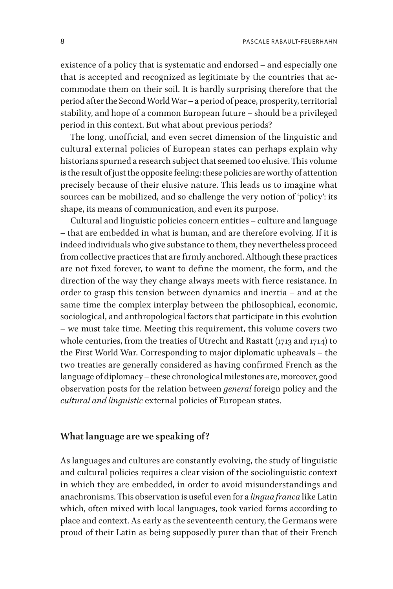existence of a policy that is systematic and endorsed – and especially one that is accepted and recognized as legitimate by the countries that accommodate them on their soil. It is hardly surprising therefore that the period after the Second World War – a period of peace, prosperity, territorial stability, and hope of a common European future – should be a privileged period in this context. But what about previous periods?

The long, unofficial, and even secret dimension of the linguistic and cultural external policies of European states can perhaps explain why historians spurned a research subject that seemed too elusive. This volume is the result of just the opposite feeling: these policies are worthy of attention precisely because of their elusive nature. This leads us to imagine what sources can be mobilized, and so challenge the very notion of 'policy': its shape, its means of communication, and even its purpose.

Cultural and linguistic policies concern entities – culture and language – that are embedded in what is human, and are therefore evolving. If it is indeed individuals who give substance to them, they nevertheless proceed from collective practices that are firmly anchored. Although these practices are not fixed forever, to want to define the moment, the form, and the direction of the way they change always meets with fierce resistance. In order to grasp this tension between dynamics and inertia – and at the same time the complex interplay between the philosophical, economic, sociological, and anthropological factors that participate in this evolution – we must take time. Meeting this requirement, this volume covers two whole centuries, from the treaties of Utrecht and Rastatt (1713 and 1714) to the First World War. Corresponding to major diplomatic upheavals – the two treaties are generally considered as having confirmed French as the language of diplomacy – these chronological milestones are, moreover, good observation posts for the relation between *general* foreign policy and the *cultural and linguistic* external policies of European states.

#### **What language are we speaking of?**

As languages and cultures are constantly evolving, the study of linguistic and cultural policies requires a clear vision of the sociolinguistic context in which they are embedded, in order to avoid misunderstandings and anachronisms. This observation is useful even for a *lingua franca* like Latin which, often mixed with local languages, took varied forms according to place and context. As early as the seventeenth century, the Germans were proud of their Latin as being supposedly purer than that of their French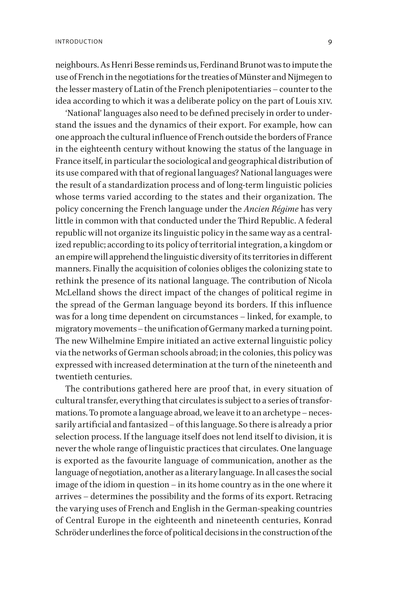neighbours. As Henri Besse reminds us, Ferdinand Brunot was to impute the use of French in the negotiations for the treaties of Münster and Nijmegen to the lesser mastery of Latin of the French plenipotentiaries – counter to the idea according to which it was a deliberate policy on the part of Louis xiv.

'National' languages also need to be defined precisely in order to understand the issues and the dynamics of their export. For example, how can one approach the cultural influence of French outside the borders of France in the eighteenth century without knowing the status of the language in France itself, in particular the sociological and geographical distribution of its use compared with that of regional languages? National languages were the result of a standardization process and of long-term linguistic policies whose terms varied according to the states and their organization. The policy concerning the French language under the *Ancien Régime* has very little in common with that conducted under the Third Republic. A federal republic will not organize its linguistic policy in the same way as a centralized republic; according to its policy of territorial integration, a kingdom or an empire will apprehend the linguistic diversity of its territories in different manners. Finally the acquisition of colonies obliges the colonizing state to rethink the presence of its national language. The contribution of Nicola McLelland shows the direct impact of the changes of political regime in the spread of the German language beyond its borders. If this influence was for a long time dependent on circumstances – linked, for example, to migratory movements – the unification of Germany marked a turning point. The new Wilhelmine Empire initiated an active external linguistic policy via the networks of German schools abroad; in the colonies, this policy was expressed with increased determination at the turn of the nineteenth and twentieth centuries.

The contributions gathered here are proof that, in every situation of cultural transfer, everything that circulates is subject to a series of transformations. To promote a language abroad, we leave it to an archetype – necessarily artificial and fantasized – of this language. So there is already a prior selection process. If the language itself does not lend itself to division, it is never the whole range of linguistic practices that circulates. One language is exported as the favourite language of communication, another as the language of negotiation, another as a literary language. In all cases the social image of the idiom in question – in its home country as in the one where it arrives – determines the possibility and the forms of its export. Retracing the varying uses of French and English in the German-speaking countries of Central Europe in the eighteenth and nineteenth centuries, Konrad Schröder underlines the force of political decisions in the construction of the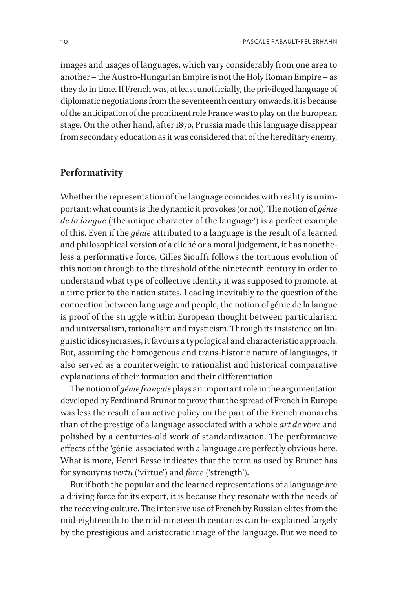images and usages of languages, which vary considerably from one area to another – the Austro-Hungarian Empire is not the Holy Roman Empire – as they do in time. If French was, at least unofficially, the privileged language of diplomatic negotiations from the seventeenth century onwards, it is because of the anticipation of the prominent role France was to play on the European stage. On the other hand, after 1870, Prussia made this language disappear from secondary education as it was considered that of the hereditary enemy.

#### **Performativity**

Whether the representation of the language coincides with reality is unimportant: what counts is the dynamic it provokes (or not). The notion of *génie de la langue* ('the unique character of the language') is a perfect example of this. Even if the *génie* attributed to a language is the result of a learned and philosophical version of a cliché or a moral judgement, it has nonetheless a performative force. Gilles Siouffi follows the tortuous evolution of this notion through to the threshold of the nineteenth century in order to understand what type of collective identity it was supposed to promote, at a time prior to the nation states. Leading inevitably to the question of the connection between language and people, the notion of génie de la langue is proof of the struggle within European thought between particularism and universalism, rationalism and mysticism. Through its insistence on linguistic idiosyncrasies, it favours a typological and characteristic approach. But, assuming the homogenous and trans-historic nature of languages, it also served as a counterweight to rationalist and historical comparative explanations of their formation and their differentiation.

The notion of *génie français* plays an important role in the argumentation developed by Ferdinand Brunot to prove that the spread of French in Europe was less the result of an active policy on the part of the French monarchs than of the prestige of a language associated with a whole *art de vivre* and polished by a centuries-old work of standardization. The performative effects of the 'génie' associated with a language are perfectly obvious here. What is more, Henri Besse indicates that the term as used by Brunot has for synonyms *vertu* ('virtue') and *force* ('strength').

But if both the popular and the learned representations of a language are a driving force for its export, it is because they resonate with the needs of the receiving culture. The intensive use of French by Russian elites from the mid-eighteenth to the mid-nineteenth centuries can be explained largely by the prestigious and aristocratic image of the language. But we need to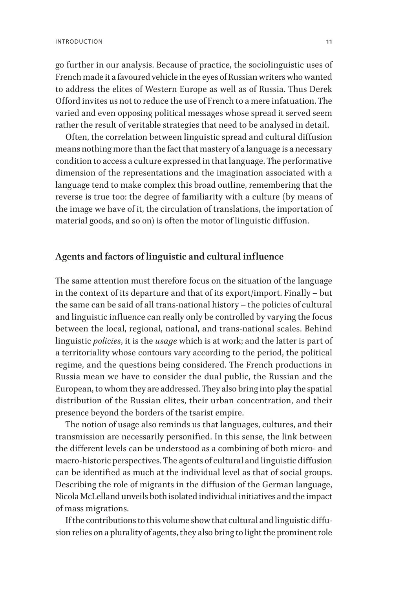go further in our analysis. Because of practice, the sociolinguistic uses of French made it a favoured vehicle in the eyes of Russian writers who wanted to address the elites of Western Europe as well as of Russia. Thus Derek Offord invites us not to reduce the use of French to a mere infatuation. The varied and even opposing political messages whose spread it served seem rather the result of veritable strategies that need to be analysed in detail.

Often, the correlation between linguistic spread and cultural diffusion means nothing more than the fact that mastery of a language is a necessary condition to access a culture expressed in that language. The performative dimension of the representations and the imagination associated with a language tend to make complex this broad outline, remembering that the reverse is true too: the degree of familiarity with a culture (by means of the image we have of it, the circulation of translations, the importation of material goods, and so on) is often the motor of linguistic diffusion.

#### **Agents and factors of linguistic and cultural influence**

The same attention must therefore focus on the situation of the language in the context of its departure and that of its export/import. Finally – but the same can be said of all trans-national history – the policies of cultural and linguistic influence can really only be controlled by varying the focus between the local, regional, national, and trans-national scales. Behind linguistic *policies*, it is the *usage* which is at work; and the latter is part of a territoriality whose contours vary according to the period, the political regime, and the questions being considered. The French productions in Russia mean we have to consider the dual public, the Russian and the European, to whom they are addressed. They also bring into play the spatial distribution of the Russian elites, their urban concentration, and their presence beyond the borders of the tsarist empire.

The notion of usage also reminds us that languages, cultures, and their transmission are necessarily personified. In this sense, the link between the different levels can be understood as a combining of both micro- and macro-historic perspectives. The agents of cultural and linguistic diffusion can be identified as much at the individual level as that of social groups. Describing the role of migrants in the diffusion of the German language, Nicola McLelland unveils both isolated individual initiatives and the impact of mass migrations.

If the contributions to this volume show that cultural and linguistic diffusion relies on a plurality of agents, they also bring to light the prominent role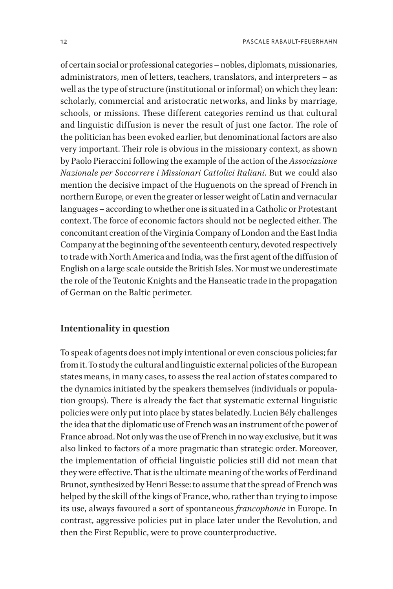of certain social or professional categories – nobles, diplomats, missionaries, administrators, men of letters, teachers, translators, and interpreters – as well as the type of structure (institutional or informal) on which they lean: scholarly, commercial and aristocratic networks, and links by marriage, schools, or missions. These different categories remind us that cultural and linguistic diffusion is never the result of just one factor. The role of the politician has been evoked earlier, but denominational factors are also very important. Their role is obvious in the missionary context, as shown by Paolo Pieraccini following the example of the action of the *Associazione Nazionale per Soccorrere i Missionari Cattolici Italiani*. But we could also mention the decisive impact of the Huguenots on the spread of French in northern Europe, or even the greater or lesser weight of Latin and vernacular languages – according to whether one is situated in a Catholic or Protestant context. The force of economic factors should not be neglected either. The concomitant creation of the Virginia Company of London and the East India Company at the beginning of the seventeenth century, devoted respectively to trade with North America and India, was the first agent of the diffusion of English on a large scale outside the British Isles. Nor must we underestimate the role of the Teutonic Knights and the Hanseatic trade in the propagation of German on the Baltic perimeter.

#### **Intentionality in question**

To speak of agents does not imply intentional or even conscious policies; far from it. To study the cultural and linguistic external policies of the European states means, in many cases, to assess the real action of states compared to the dynamics initiated by the speakers themselves (individuals or population groups). There is already the fact that systematic external linguistic policies were only put into place by states belatedly. Lucien Bély challenges the idea that the diplomatic use of French was an instrument of the power of France abroad. Not only was the use of French in no way exclusive, but it was also linked to factors of a more pragmatic than strategic order. Moreover, the implementation of official linguistic policies still did not mean that they were effective. That is the ultimate meaning of the works of Ferdinand Brunot, synthesized by Henri Besse: to assume that the spread of French was helped by the skill of the kings of France, who, rather than trying to impose its use, always favoured a sort of spontaneous *francophonie* in Europe. In contrast, aggressive policies put in place later under the Revolution, and then the First Republic, were to prove counterproductive.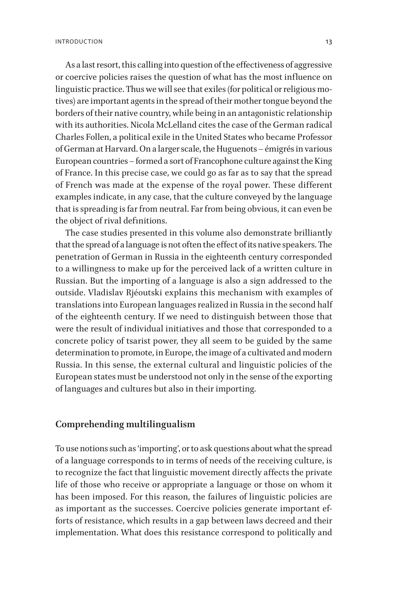As a last resort, this calling into question of the effectiveness of aggressive or coercive policies raises the question of what has the most influence on linguistic practice. Thus we will see that exiles (for political or religious motives) are important agents in the spread of their mother tongue beyond the borders of their native country, while being in an antagonistic relationship with its authorities. Nicola McLelland cites the case of the German radical Charles Follen, a political exile in the United States who became Professor of German at Harvard. On a larger scale, the Huguenots – émigrés in various European countries – formed a sort of Francophone culture against the King of France. In this precise case, we could go as far as to say that the spread of French was made at the expense of the royal power. These different examples indicate, in any case, that the culture conveyed by the language that is spreading is far from neutral. Far from being obvious, it can even be the object of rival definitions.

The case studies presented in this volume also demonstrate brilliantly that the spread of a language is not often the effect of its native speakers. The penetration of German in Russia in the eighteenth century corresponded to a willingness to make up for the perceived lack of a written culture in Russian. But the importing of a language is also a sign addressed to the outside. Vladislav Rjéoutski explains this mechanism with examples of translations into European languages realized in Russia in the second half of the eighteenth century. If we need to distinguish between those that were the result of individual initiatives and those that corresponded to a concrete policy of tsarist power, they all seem to be guided by the same determination to promote, in Europe, the image of a cultivated and modern Russia. In this sense, the external cultural and linguistic policies of the European states must be understood not only in the sense of the exporting of languages and cultures but also in their importing.

#### **Comprehending multilingualism**

To use notions such as 'importing', or to ask questions about what the spread of a language corresponds to in terms of needs of the receiving culture, is to recognize the fact that linguistic movement directly affects the private life of those who receive or appropriate a language or those on whom it has been imposed. For this reason, the failures of linguistic policies are as important as the successes. Coercive policies generate important efforts of resistance, which results in a gap between laws decreed and their implementation. What does this resistance correspond to politically and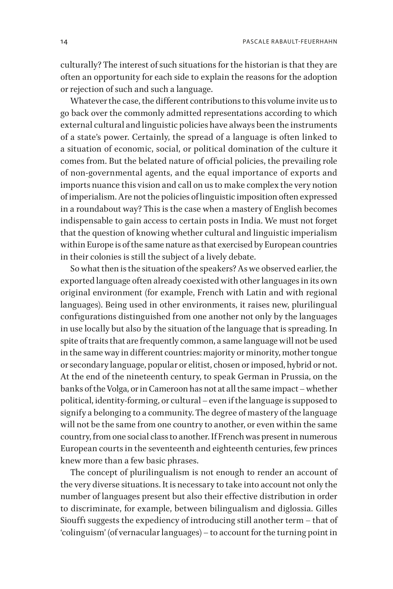14 PASCALE RABAULT-FEUERHAHN

culturally? The interest of such situations for the historian is that they are often an opportunity for each side to explain the reasons for the adoption or rejection of such and such a language.

Whatever the case, the different contributions to this volume invite us to go back over the commonly admitted representations according to which external cultural and linguistic policies have always been the instruments of a state's power. Certainly, the spread of a language is often linked to a situation of economic, social, or political domination of the culture it comes from. But the belated nature of official policies, the prevailing role of non-governmental agents, and the equal importance of exports and imports nuance this vision and call on us to make complex the very notion of imperialism. Are not the policies of linguistic imposition often expressed in a roundabout way? This is the case when a mastery of English becomes indispensable to gain access to certain posts in India. We must not forget that the question of knowing whether cultural and linguistic imperialism within Europe is of the same nature as that exercised by European countries in their colonies is still the subject of a lively debate.

So what then is the situation of the speakers? As we observed earlier, the exported language often already coexisted with other languages in its own original environment (for example, French with Latin and with regional languages). Being used in other environments, it raises new, plurilingual configurations distinguished from one another not only by the languages in use locally but also by the situation of the language that is spreading. In spite of traits that are frequently common, a same language will not be used in the same way in different countries: majority or minority, mother tongue or secondary language, popular or elitist, chosen or imposed, hybrid or not. At the end of the nineteenth century, to speak German in Prussia, on the banks of the Volga, or in Cameroon has not at all the same impact – whether political, identity-forming, or cultural – even if the language is supposed to signify a belonging to a community. The degree of mastery of the language will not be the same from one country to another, or even within the same country, from one social class to another. If French was present in numerous European courts in the seventeenth and eighteenth centuries, few princes knew more than a few basic phrases.

The concept of plurilingualism is not enough to render an account of the very diverse situations. It is necessary to take into account not only the number of languages present but also their effective distribution in order to discriminate, for example, between bilingualism and diglossia. Gilles Siouffi suggests the expediency of introducing still another term – that of 'colinguism' (of vernacular languages) – to account for the turning point in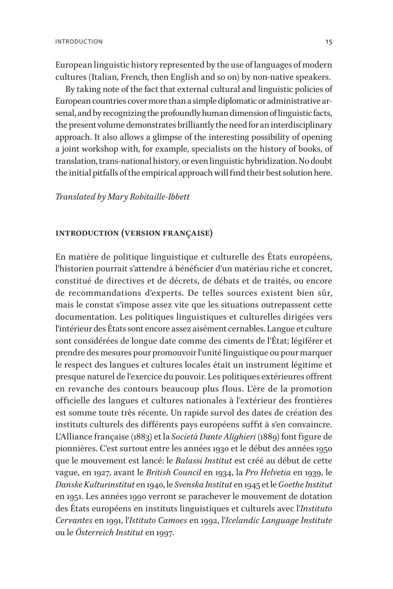European linguistic history represented by the use of languages of modern cultures (Italian, French, then English and so on) by non-native speakers.

By taking note of the fact that external cultural and linguistic policies of European countries cover more than a simple diplomatic or administrative arsenal, and by recognizing the profoundly human dimension of linguistic facts, the present volume demonstrates brilliantly the need for an interdisciplinary approach. It also allows a glimpse of the interesting possibility of opening a joint workshop with, for example, specialists on the history of books, of translation, trans-national history, or even linguistic hybridization. No doubt the initial pitfalls of the empirical approach will find their best solution here.

#### *Translated by Mary Robitaille-Ibbett*

#### **introduction (version française)**

En matière de politique linguistique et culturelle des États européens, l'historien pourrait s'attendre à bénéficier d'un matériau riche et concret, constitué de directives et de décrets, de débats et de traités, ou encore de recommandations d'experts. De telles sources existent bien sûr, mais le constat s'impose assez vite que les situations outrepassent cette documentation. Les politiques linguistiques et culturelles dirigées vers l'intérieur des États sont encore assez aisément cernables. Langue et culture sont considérées de longue date comme des ciments de l'État; légiférer et prendre des mesures pour promouvoir l'unité linguistique ou pour marquer le respect des langues et cultures locales était un instrument légitime et presque naturel de l'exercice du pouvoir. Les politiques extérieures offrent en revanche des contours beaucoup plus flous. L'ère de la promotion officielle des langues et cultures nationales à l'extérieur des frontières est somme toute très récente. Un rapide survol des dates de création des instituts culturels des différents pays européens suffit à s'en convaincre. L'Alliance française (1883) et la *Società Dante Alighieri* (1889) font figure de pionnières. C'est surtout entre les années 1930 et le début des années 1950 que le mouvement est lancé: le *Balassi Institut* est créé au début de cette vague, en 1927, avant le *British Council* en 1934, la *Pro Helvetia* en 1939, le *Danske Kulturinstitut* en 1940, le *Svenska Institut* en 1945 et le *Goethe Institut* en 1951. Les années 1990 verront se parachever le mouvement de dotation des États européens en instituts linguistiques et culturels avec l'*Instituto Cervantes* en 1991, l'*Istituto Camoes* en 1992, l'*Icelandic Language Institute* ou le *Österreich Institut* en 1997.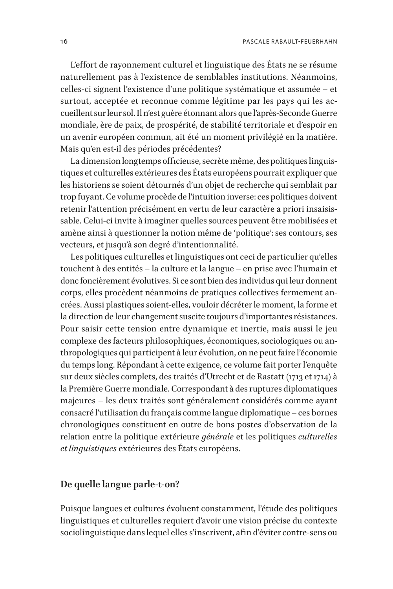L'effort de rayonnement culturel et linguistique des États ne se résume naturellement pas à l'existence de semblables institutions. Néanmoins, celles-ci signent l'existence d'une politique systématique et assumée – et surtout, acceptée et reconnue comme légitime par les pays qui les accueillent sur leur sol. Il n'est guère étonnant alors que l'après-Seconde Guerre mondiale, ère de paix, de prospérité, de stabilité territoriale et d'espoir en un avenir européen commun, ait été un moment privilégié en la matière. Mais qu'en est-il des périodes précédentes?

La dimension longtemps officieuse, secrète même, des politiques linguistiques et culturelles extérieures des États européens pourrait expliquer que les historiens se soient détournés d'un objet de recherche qui semblait par trop fuyant. Ce volume procède de l'intuition inverse: ces politiques doivent retenir l'attention précisément en vertu de leur caractère a priori insaisissable. Celui-ci invite à imaginer quelles sources peuvent être mobilisées et amène ainsi à questionner la notion même de 'politique': ses contours, ses vecteurs, et jusqu'à son degré d'intentionnalité.

Les politiques culturelles et linguistiques ont ceci de particulier qu'elles touchent à des entités – la culture et la langue – en prise avec l'humain et donc foncièrement évolutives. Si ce sont bien des individus qui leur donnent corps, elles procèdent néanmoins de pratiques collectives fermement ancrées. Aussi plastiques soient-elles, vouloir décréter le moment, la forme et la direction de leur changement suscite toujours d'importantes résistances. Pour saisir cette tension entre dynamique et inertie, mais aussi le jeu complexe des facteurs philosophiques, économiques, sociologiques ou anthropologiques qui participent à leur évolution, on ne peut faire l'économie du temps long. Répondant à cette exigence, ce volume fait porter l'enquête sur deux siècles complets, des traités d'Utrecht et de Rastatt (1713 et 1714) à la Première Guerre mondiale. Correspondant à des ruptures diplomatiques majeures – les deux traités sont généralement considérés comme ayant consacré l'utilisation du français comme langue diplomatique – ces bornes chronologiques constituent en outre de bons postes d'observation de la relation entre la politique extérieure *générale* et les politiques *culturelles et linguistiques* extérieures des États européens.

#### **De quelle langue parle-t-on?**

Puisque langues et cultures évoluent constamment, l'étude des politiques linguistiques et culturelles requiert d'avoir une vision précise du contexte sociolinguistique dans lequel elles s'inscrivent, afin d'éviter contre-sens ou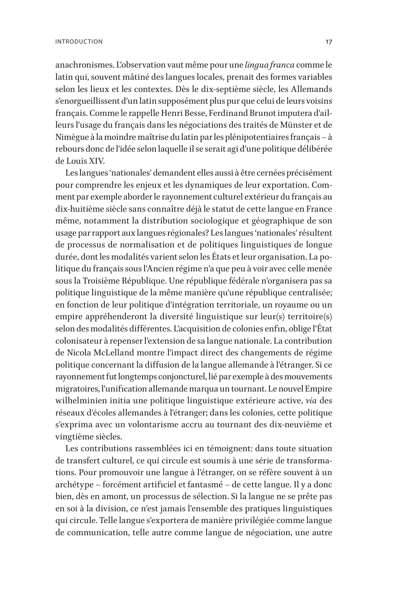anachronismes. L'observation vaut même pour une *lingua franca* comme le latin qui, souvent mâtiné des langues locales, prenait des formes variables selon les lieux et les contextes. Dès le dix-septième siècle, les Allemands s'enorgueillissent d'un latin supposément plus pur que celui de leurs voisins français. Comme le rappelle Henri Besse, Ferdinand Brunot imputera d'ailleurs l'usage du français dans les négociations des traités de Münster et de Nimègue à la moindre maîtrise du latin par les plénipotentiaires français – à rebours donc de l'idée selon laquelle il se serait agi d'une politique délibérée de Louis XIV.

Les langues 'nationales' demandent elles aussi à être cernées précisément pour comprendre les enjeux et les dynamiques de leur exportation. Comment par exemple aborder le rayonnement culturel extérieur du français au dix-huitième siècle sans connaître déjà le statut de cette langue en France même, notamment la distribution sociologique et géographique de son usage par rapport aux langues régionales? Les langues 'nationales' résultent de processus de normalisation et de politiques linguistiques de longue durée, dont les modalités varient selon les États et leur organisation. La politique du français sous l'Ancien régime n'a que peu à voir avec celle menée sous la Troisième République. Une république fédérale n'organisera pas sa politique linguistique de la même manière qu'une république centralisée; en fonction de leur politique d'intégration territoriale, un royaume ou un empire appréhenderont la diversité linguistique sur leur(s) territoire(s) selon des modalités différentes. L'acquisition de colonies enfin, oblige l'État colonisateur à repenser l'extension de sa langue nationale. La contribution de Nicola McLelland montre l'impact direct des changements de régime politique concernant la diffusion de la langue allemande à l'étranger. Si ce rayonnement fut longtemps conjoncturel, lié par exemple à des mouvements migratoires, l'unification allemande marqua un tournant. Le nouvel Empire wilhelminien initia une politique linguistique extérieure active, *via* des réseaux d'écoles allemandes à l'étranger; dans les colonies, cette politique s'exprima avec un volontarisme accru au tournant des dix-neuvième et vingtième siècles.

Les contributions rassemblées ici en témoignent: dans toute situation de transfert culturel, ce qui circule est soumis à une série de transformations. Pour promouvoir une langue à l'étranger, on se réfère souvent à un archétype – forcément artificiel et fantasmé – de cette langue. Il y a donc bien, dès en amont, un processus de sélection. Si la langue ne se prête pas en soi à la division, ce n'est jamais l'ensemble des pratiques linguistiques qui circule. Telle langue s'exportera de manière privilégiée comme langue de communication, telle autre comme langue de négociation, une autre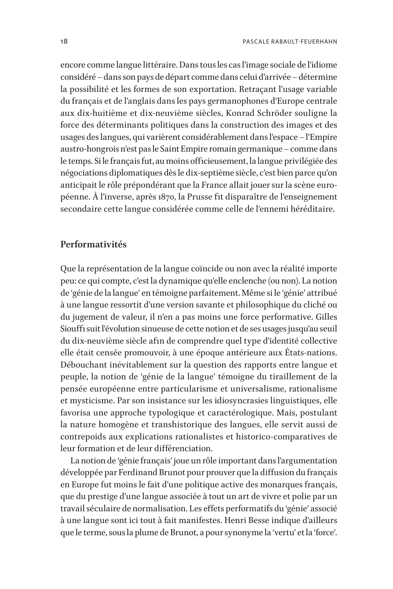encore comme langue littéraire. Dans tous les cas l'image sociale de l'idiome considéré – dans son pays de départ comme dans celui d'arrivée – détermine la possibilité et les formes de son exportation. Retraçant l'usage variable du français et de l'anglais dans les pays germanophones d'Europe centrale aux dix-huitième et dix-neuvième siècles, Konrad Schröder souligne la force des déterminants politiques dans la construction des images et des usages des langues, qui varièrent considérablement dans l'espace – l'Empire austro-hongrois n'est pas le Saint Empire romain germanique – comme dans le temps. Si le français fut, au moins officieusement, la langue privilégiée des négociations diplomatiques dès le dix-septième siècle, c'est bien parce qu'on anticipait le rôle prépondérant que la France allait jouer sur la scène européenne. À l'inverse, après 1870, la Prusse fit disparaître de l'enseignement secondaire cette langue considérée comme celle de l'ennemi héréditaire.

#### **Performativités**

Que la représentation de la langue coïncide ou non avec la réalité importe peu: ce qui compte, c'est la dynamique qu'elle enclenche (ou non). La notion de 'génie de la langue' en témoigne parfaitement. Même si le 'génie' attribué à une langue ressortit d'une version savante et philosophique du cliché ou du jugement de valeur, il n'en a pas moins une force performative. Gilles Siouffi suit l'évolution sinueuse de cette notion et de ses usages jusqu'au seuil du dix-neuvième siècle afin de comprendre quel type d'identité collective elle était censée promouvoir, à une époque antérieure aux États-nations. Débouchant inévitablement sur la question des rapports entre langue et peuple, la notion de 'génie de la langue' témoigne du tiraillement de la pensée européenne entre particularisme et universalisme, rationalisme et mysticisme. Par son insistance sur les idiosyncrasies linguistiques, elle favorisa une approche typologique et caractérologique. Mais, postulant la nature homogène et transhistorique des langues, elle servit aussi de contrepoids aux explications rationalistes et historico-comparatives de leur formation et de leur différenciation.

La notion de 'génie français' joue un rôle important dans l'argumentation développée par Ferdinand Brunot pour prouver que la diffusion du français en Europe fut moins le fait d'une politique active des monarques français, que du prestige d'une langue associée à tout un art de vivre et polie par un travail séculaire de normalisation. Les effets performatifs du 'génie' associé à une langue sont ici tout à fait manifestes. Henri Besse indique d'ailleurs que le terme, sous la plume de Brunot, a pour synonyme la 'vertu' et la 'force'.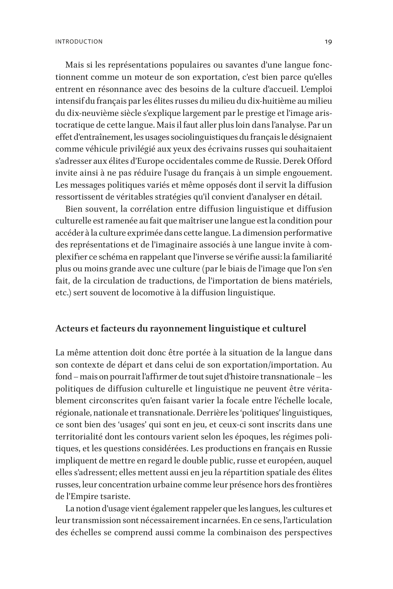Mais si les représentations populaires ou savantes d'une langue fonctionnent comme un moteur de son exportation, c'est bien parce qu'elles entrent en résonnance avec des besoins de la culture d'accueil. L'emploi intensif du français par les élites russes du milieu du dix-huitième au milieu du dix-neuvième siècle s'explique largement par le prestige et l'image aristocratique de cette langue. Mais il faut aller plus loin dans l'analyse. Par un effet d'entraînement, les usages sociolinguistiques du français le désignaient comme véhicule privilégié aux yeux des écrivains russes qui souhaitaient s'adresser aux élites d'Europe occidentales comme de Russie. Derek Offord invite ainsi à ne pas réduire l'usage du français à un simple engouement. Les messages politiques variés et même opposés dont il servit la diffusion ressortissent de véritables stratégies qu'il convient d'analyser en détail.

Bien souvent, la corrélation entre diffusion linguistique et diffusion culturelle est ramenée au fait que maîtriser une langue est la condition pour accéder à la culture exprimée dans cette langue. La dimension performative des représentations et de l'imaginaire associés à une langue invite à complexifier ce schéma en rappelant que l'inverse se vérifie aussi: la familiarité plus ou moins grande avec une culture (par le biais de l'image que l'on s'en fait, de la circulation de traductions, de l'importation de biens matériels, etc.) sert souvent de locomotive à la diffusion linguistique.

#### **Acteurs et facteurs du rayonnement linguistique et culturel**

La même attention doit donc être portée à la situation de la langue dans son contexte de départ et dans celui de son exportation/importation. Au fond – mais on pourrait l'affirmer de tout sujet d'histoire transnationale – les politiques de diffusion culturelle et linguistique ne peuvent être véritablement circonscrites qu'en faisant varier la focale entre l'échelle locale, régionale, nationale et transnationale. Derrière les 'politiques' linguistiques, ce sont bien des 'usages' qui sont en jeu, et ceux-ci sont inscrits dans une territorialité dont les contours varient selon les époques, les régimes politiques, et les questions considérées. Les productions en français en Russie impliquent de mettre en regard le double public, russe et européen, auquel elles s'adressent; elles mettent aussi en jeu la répartition spatiale des élites russes, leur concentration urbaine comme leur présence hors des frontières de l'Empire tsariste.

La notion d'usage vient également rappeler que les langues, les cultures et leur transmission sont nécessairement incarnées. En ce sens, l'articulation des échelles se comprend aussi comme la combinaison des perspectives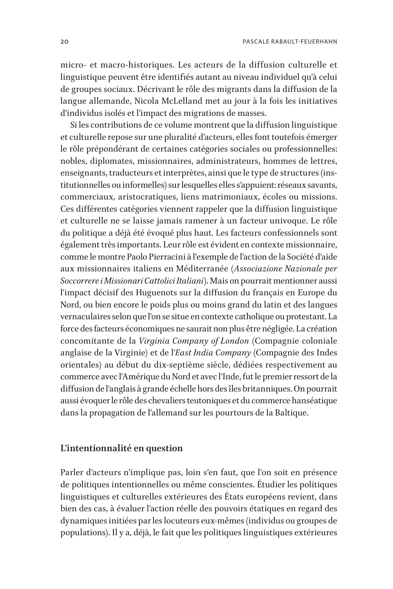micro- et macro-historiques. Les acteurs de la diffusion culturelle et linguistique peuvent être identifiés autant au niveau individuel qu'à celui de groupes sociaux. Décrivant le rôle des migrants dans la diffusion de la langue allemande, Nicola McLelland met au jour à la fois les initiatives d'individus isolés et l'impact des migrations de masses.

Si les contributions de ce volume montrent que la diffusion linguistique et culturelle repose sur une pluralité d'acteurs, elles font toutefois émerger le rôle prépondérant de certaines catégories sociales ou professionnelles: nobles, diplomates, missionnaires, administrateurs, hommes de lettres, enseignants, traducteurs et interprètes, ainsi que le type de structures (institutionnelles ou informelles) sur lesquelles elles s'appuient: réseaux savants, commerciaux, aristocratiques, liens matrimoniaux, écoles ou missions. Ces différentes catégories viennent rappeler que la diffusion linguistique et culturelle ne se laisse jamais ramener à un facteur univoque. Le rôle du politique a déjà été évoqué plus haut. Les facteurs confessionnels sont également très importants. Leur rôle est évident en contexte missionnaire, comme le montre Paolo Pierracini à l'exemple de l'action de la Société d'aide aux missionnaires italiens en Méditerranée (*Associazione Nazionale per Soccorrere i Missionari Cattolici Italiani*). Mais on pourrait mentionner aussi l'impact décisif des Huguenots sur la diffusion du français en Europe du Nord, ou bien encore le poids plus ou moins grand du latin et des langues vernaculaires selon que l'on se situe en contexte catholique ou protestant. La force des facteurs économiques ne saurait non plus être négligée. La création concomitante de la *Virginia Company of London* (Compagnie coloniale anglaise de la Virginie) et de l'*East India Company* (Compagnie des Indes orientales) au début du dix-septième siècle, dédiées respectivement au commerce avec l'Amérique du Nord et avec l'Inde, fut le premier ressort de la diffusion de l'anglais à grande échelle hors des îles britanniques. On pourrait aussi évoquer le rôle des chevaliers teutoniques et du commerce hanséatique dans la propagation de l'allemand sur les pourtours de la Baltique.

#### **L'intentionnalité en question**

Parler d'acteurs n'implique pas, loin s'en faut, que l'on soit en présence de politiques intentionnelles ou même conscientes. Étudier les politiques linguistiques et culturelles extérieures des États européens revient, dans bien des cas, à évaluer l'action réelle des pouvoirs étatiques en regard des dynamiques initiées par les locuteurs eux-mêmes (individus ou groupes de populations). Il y a, déjà, le fait que les politiques linguistiques extérieures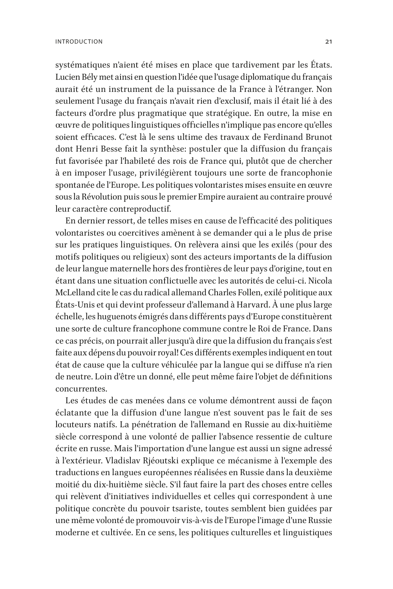systématiques n'aient été mises en place que tardivement par les États. Lucien Bély met ainsi en question l'idée que l'usage diplomatique du français aurait été un instrument de la puissance de la France à l'étranger. Non seulement l'usage du français n'avait rien d'exclusif, mais il était lié à des facteurs d'ordre plus pragmatique que stratégique. En outre, la mise en œuvre de politiques linguistiques officielles n'implique pas encore qu'elles soient efficaces. C'est là le sens ultime des travaux de Ferdinand Brunot dont Henri Besse fait la synthèse: postuler que la diffusion du français fut favorisée par l'habileté des rois de France qui, plutôt que de chercher à en imposer l'usage, privilégièrent toujours une sorte de francophonie spontanée de l'Europe. Les politiques volontaristes mises ensuite en œuvre sous la Révolution puis sous le premier Empire auraient au contraire prouvé leur caractère contreproductif.

En dernier ressort, de telles mises en cause de l'efficacité des politiques volontaristes ou coercitives amènent à se demander qui a le plus de prise sur les pratiques linguistiques. On relèvera ainsi que les exilés (pour des motifs politiques ou religieux) sont des acteurs importants de la diffusion de leur langue maternelle hors des frontières de leur pays d'origine, tout en étant dans une situation conflictuelle avec les autorités de celui-ci. Nicola McLelland cite le cas du radical allemand Charles Follen, exilé politique aux États-Unis et qui devint professeur d'allemand à Harvard. À une plus large échelle, les huguenots émigrés dans différents pays d'Europe constituèrent une sorte de culture francophone commune contre le Roi de France. Dans ce cas précis, on pourrait aller jusqu'à dire que la diffusion du français s'est faite aux dépens du pouvoir royal! Ces différents exemples indiquent en tout état de cause que la culture véhiculée par la langue qui se diffuse n'a rien de neutre. Loin d'être un donné, elle peut même faire l'objet de définitions concurrentes.

Les études de cas menées dans ce volume démontrent aussi de façon éclatante que la diffusion d'une langue n'est souvent pas le fait de ses locuteurs natifs. La pénétration de l'allemand en Russie au dix-huitième siècle correspond à une volonté de pallier l'absence ressentie de culture écrite en russe. Mais l'importation d'une langue est aussi un signe adressé à l'extérieur. Vladislav Rjéoutski explique ce mécanisme à l'exemple des traductions en langues européennes réalisées en Russie dans la deuxième moitié du dix-huitième siècle. S'il faut faire la part des choses entre celles qui relèvent d'initiatives individuelles et celles qui correspondent à une politique concrète du pouvoir tsariste, toutes semblent bien guidées par une même volonté de promouvoir vis-à-vis de l'Europe l'image d'une Russie moderne et cultivée. En ce sens, les politiques culturelles et linguistiques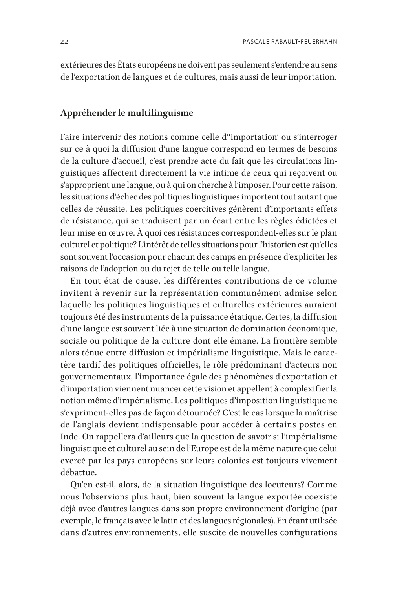extérieures des États européens ne doivent pas seulement s'entendre au sens de l'exportation de langues et de cultures, mais aussi de leur importation.

#### **Appréhender le multilinguisme**

Faire intervenir des notions comme celle d''importation' ou s'interroger sur ce à quoi la diffusion d'une langue correspond en termes de besoins de la culture d'accueil, c'est prendre acte du fait que les circulations linguistiques affectent directement la vie intime de ceux qui reçoivent ou s'approprient une langue, ou à qui on cherche à l'imposer. Pour cette raison, les situations d'échec des politiques linguistiques importent tout autant que celles de réussite. Les politiques coercitives génèrent d'importants effets de résistance, qui se traduisent par un écart entre les règles édictées et leur mise en œuvre. À quoi ces résistances correspondent-elles sur le plan culturel et politique? L'intérêt de telles situations pour l'historien est qu'elles sont souvent l'occasion pour chacun des camps en présence d'expliciter les raisons de l'adoption ou du rejet de telle ou telle langue.

En tout état de cause, les différentes contributions de ce volume invitent à revenir sur la représentation communément admise selon laquelle les politiques linguistiques et culturelles extérieures auraient toujours été des instruments de la puissance étatique. Certes, la diffusion d'une langue est souvent liée à une situation de domination économique, sociale ou politique de la culture dont elle émane. La frontière semble alors ténue entre diffusion et impérialisme linguistique. Mais le caractère tardif des politiques officielles, le rôle prédominant d'acteurs non gouvernementaux, l'importance égale des phénomènes d'exportation et d'importation viennent nuancer cette vision et appellent à complexifier la notion même d'impérialisme. Les politiques d'imposition linguistique ne s'expriment-elles pas de façon détournée? C'est le cas lorsque la maîtrise de l'anglais devient indispensable pour accéder à certains postes en Inde. On rappellera d'ailleurs que la question de savoir si l'impérialisme linguistique et culturel au sein de l'Europe est de la même nature que celui exercé par les pays européens sur leurs colonies est toujours vivement débattue.

Qu'en est-il, alors, de la situation linguistique des locuteurs? Comme nous l'observions plus haut, bien souvent la langue exportée coexiste déjà avec d'autres langues dans son propre environnement d'origine (par exemple, le français avec le latin et des langues régionales). En étant utilisée dans d'autres environnements, elle suscite de nouvelles configurations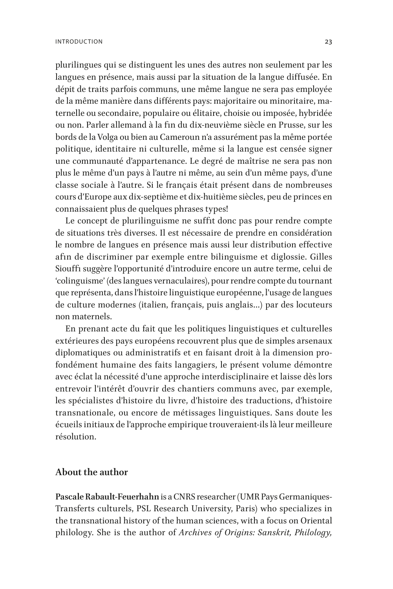plurilingues qui se distinguent les unes des autres non seulement par les langues en présence, mais aussi par la situation de la langue diffusée. En dépit de traits parfois communs, une même langue ne sera pas employée de la même manière dans différents pays: majoritaire ou minoritaire, maternelle ou secondaire, populaire ou élitaire, choisie ou imposée, hybridée ou non. Parler allemand à la fin du dix-neuvième siècle en Prusse, sur les bords de la Volga ou bien au Cameroun n'a assurément pas la même portée politique, identitaire ni culturelle, même si la langue est censée signer une communauté d'appartenance. Le degré de maîtrise ne sera pas non plus le même d'un pays à l'autre ni même, au sein d'un même pays, d'une classe sociale à l'autre. Si le français était présent dans de nombreuses cours d'Europe aux dix-septième et dix-huitième siècles, peu de princes en connaissaient plus de quelques phrases types!

Le concept de plurilinguisme ne suffit donc pas pour rendre compte de situations très diverses. Il est nécessaire de prendre en considération le nombre de langues en présence mais aussi leur distribution effective afin de discriminer par exemple entre bilinguisme et diglossie. Gilles Siouffi suggère l'opportunité d'introduire encore un autre terme, celui de 'colinguisme' (des langues vernaculaires), pour rendre compte du tournant que représenta, dans l'histoire linguistique européenne, l'usage de langues de culture modernes (italien, français, puis anglais…) par des locuteurs non maternels.

En prenant acte du fait que les politiques linguistiques et culturelles extérieures des pays européens recouvrent plus que de simples arsenaux diplomatiques ou administratifs et en faisant droit à la dimension profondément humaine des faits langagiers, le présent volume démontre avec éclat la nécessité d'une approche interdisciplinaire et laisse dès lors entrevoir l'intérêt d'ouvrir des chantiers communs avec, par exemple, les spécialistes d'histoire du livre, d'histoire des traductions, d'histoire transnationale, ou encore de métissages linguistiques. Sans doute les écueils initiaux de l'approche empirique trouveraient-ils là leur meilleure résolution.

#### **About the author**

**Pascale Rabault-Feuerhahn** is a CNRS researcher (UMR Pays Germaniques-Transferts culturels, PSL Research University, Paris) who specializes in the transnational history of the human sciences, with a focus on Oriental philology. She is the author of *Archives of Origins: Sanskrit, Philology,*